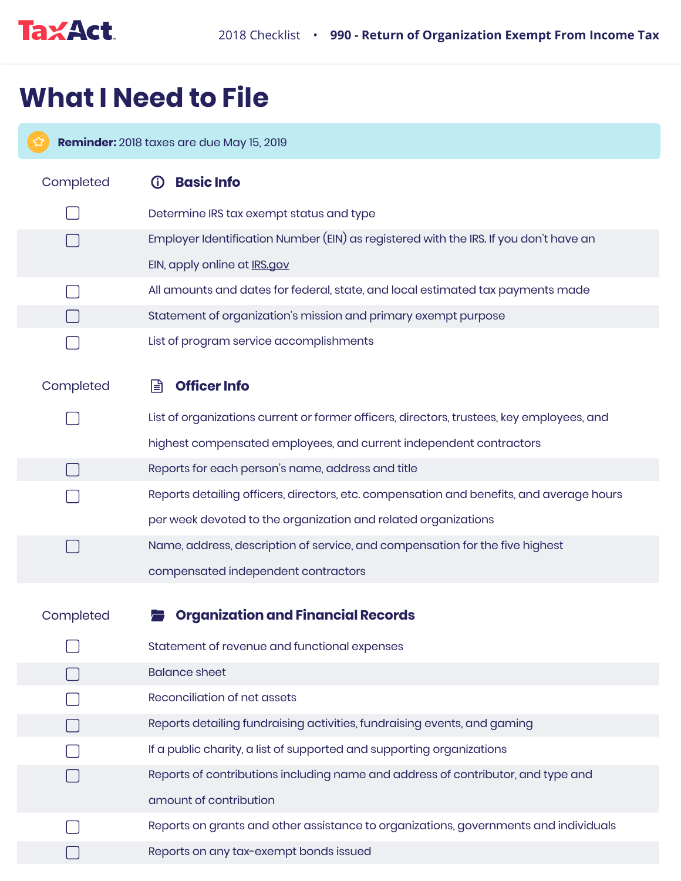

## **What I Need to File**

**Reminder:** 2018 taxes are due May 15, 2019 Completed **(i) Basic Info**  $\Box$ Determine IRS tax exempt status and type  $\Box$ Employer Identification Number (EIN) as registered with the IRS. If you don't have an EIN, apply online at **IRS.gov** All amounts and dates for federal, state, and local estimated tax payments made H  $\Box$ Statement of organization's mission and primary exempt purpose List of program service accomplishments Completed **Officer Info** List of organizations current or former officers, directors, trustees, key employees, and highest compensated employees, and current independent contractors  $\Box$ Reports for each person's name, address and title Reports detailing officers, directors, etc. compensation and benefits, and average hours per week devoted to the organization and related organizations  $\Box$ Name, address, description of service, and compensation for the five highest compensated independent contractors **Corganization and Financial Records** Completed  $\Box$ Statement of revenue and functional expenses Balance sheet  $\Box$ Reconciliation of net assets  $\Box$ Reports detailing fundraising activities, fundraising events, and gaming H If a public charity, a list of supported and supporting organizations  $\Box$ Reports of contributions including name and address of contributor, and type and  $\Box$ amount of contribution  $\Box$ Reports on grants and other assistance to organizations, governments and individuals Reports on any tax-exempt bonds issued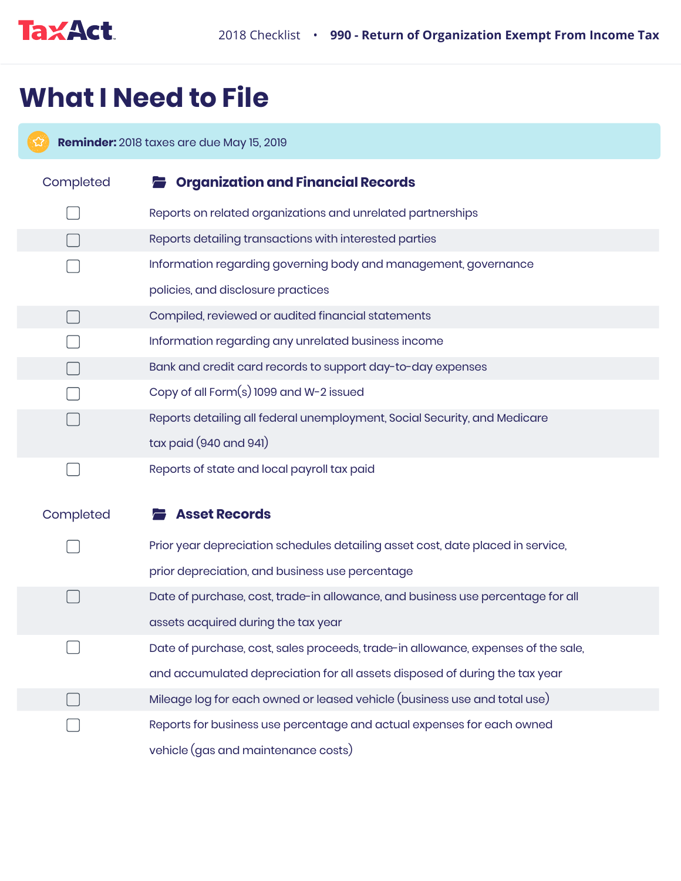

## **What I Need to File**

**Reminder:** 2018 taxes are due May 15, 2019 Completed **Organization and Financial Records** Reports on related organizations and unrelated partnerships Reports detailing transactions with interested parties  $\Box$ Information regarding governing body and management, governance policies, and disclosure practices  $\Box$ Compiled, reviewed or audited financial statements Information regarding any unrelated business income Bank and credit card records to support day-to-day expenses  $\Box$ Copy of all Form(s) 1099 and W-2 issued Reports detailing all federal unemployment, Social Security, and Medicare tax paid (940 and 941) Reports of state and local payroll tax paid  $\Box$ Completed **Asset Records** Prior year depreciation schedules detailing asset cost, date placed in service,  $\Box$ prior depreciation, and business use percentage Date of purchase, cost, trade-in allowance, and business use percentage for all assets acquired during the tax year Date of purchase, cost, sales proceeds, trade-in allowance, expenses of the sale, and accumulated depreciation for all assets disposed of during the tax year Mileage log for each owned or leased vehicle (business use and total use)

Reports for business use percentage and actual expenses for each owned

vehicle (gas and maintenance costs)